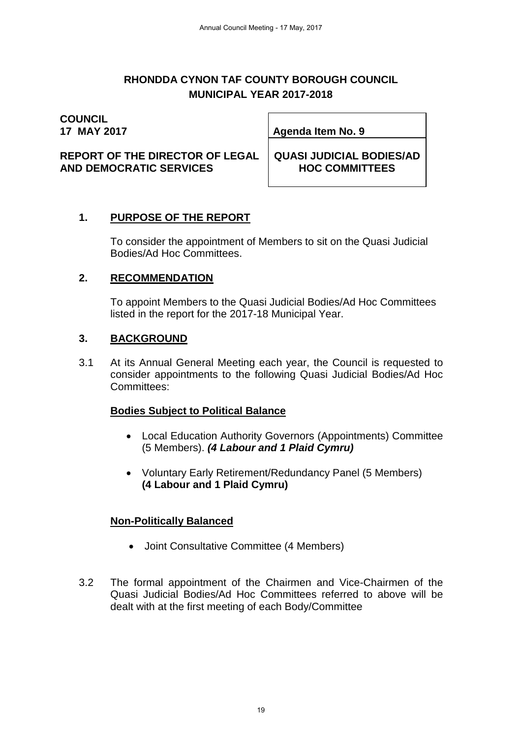#### **RHONDDA CYNON TAF COUNTY BOROUGH COUNCIL MUNICIPAL YEAR 2017-2018**

# **COUNCIL**<br>17 MAY 2017

**17 MAY 2017 Agenda Item No. 9**

**REPORT OF THE DIRECTOR OF LEGAL AND DEMOCRATIC SERVICES**

**QUASI JUDICIAL BODIES/AD HOC COMMITTEES**

# **1. PURPOSE OF THE REPORT**

To consider the appointment of Members to sit on the Quasi Judicial Bodies/Ad Hoc Committees.

## **2. RECOMMENDATION**

To appoint Members to the Quasi Judicial Bodies/Ad Hoc Committees listed in the report for the 2017-18 Municipal Year.

## **3. BACKGROUND**

3.1 At its Annual General Meeting each year, the Council is requested to consider appointments to the following Quasi Judicial Bodies/Ad Hoc Committees:

#### **Bodies Subject to Political Balance**

- Local Education Authority Governors (Appointments) Committee (5 Members). *(4 Labour and 1 Plaid Cymru)*
- Voluntary Early Retirement/Redundancy Panel (5 Members) **(4 Labour and 1 Plaid Cymru)**

# **Non-Politically Balanced**

- Joint Consultative Committee (4 Members)
- 3.2 The formal appointment of the Chairmen and Vice-Chairmen of the Quasi Judicial Bodies/Ad Hoc Committees referred to above will be dealt with at the first meeting of each Body/Committee